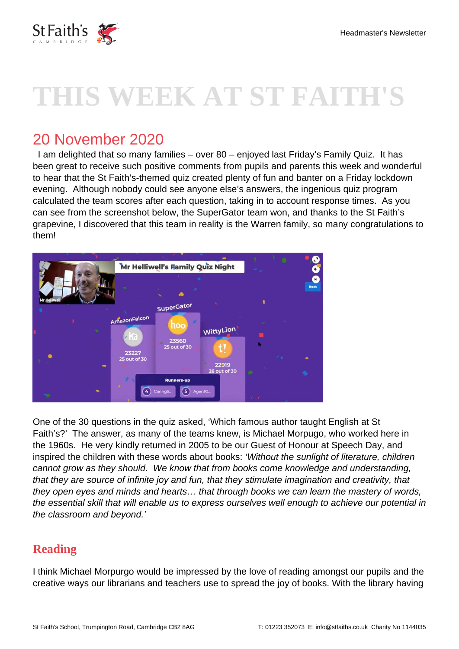

# **THIS WEEK AT ST FAITH'S**

# 20 November 2020

 I am delighted that so many families – over 80 – enjoyed last Friday's Family Quiz. It has been great to receive such positive comments from pupils and parents this week and wonderful to hear that the St Faith's-themed quiz created plenty of fun and banter on a Friday lockdown evening. Although nobody could see anyone else's answers, the ingenious quiz program calculated the team scores after each question, taking in to account response times. As you can see from the screenshot below, the SuperGator team won, and thanks to the St Faith's grapevine, I discovered that this team in reality is the Warren family, so many congratulations to them!



One of the 30 questions in the quiz asked, 'Which famous author taught English at St Faith's?' The answer, as many of the teams knew, is Michael Morpugo, who worked here in the 1960s. He very kindly returned in 2005 to be our Guest of Honour at Speech Day, and inspired the children with these words about books: 'Without the sunlight of literature, children cannot grow as they should. We know that from books come knowledge and understanding, that they are source of infinite joy and fun, that they stimulate imagination and creativity, that they open eyes and minds and hearts… that through books we can learn the mastery of words, the essential skill that will enable us to express ourselves well enough to achieve our potential in the classroom and beyond.'

#### **Reading**

I think Michael Morpurgo would be impressed by the love of reading amongst our pupils and the creative ways our librarians and teachers use to spread the joy of books. With the library having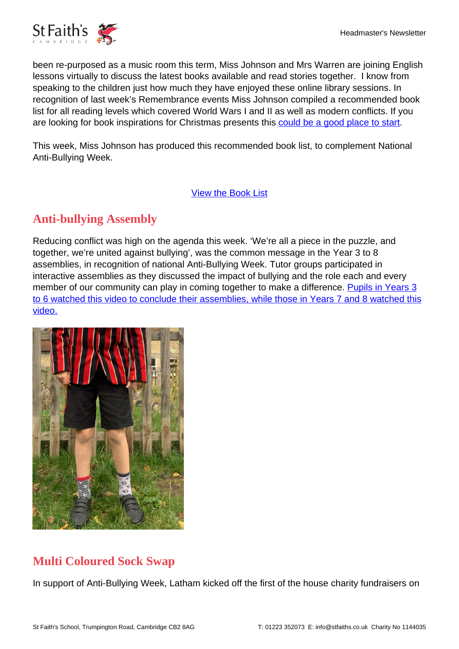been re-purposed as a music room this term, Miss Johnson and Mrs Warren are joining English lessons virtually to discuss the latest books available and read stories together. I know from speaking to the children just how much they have enjoyed these online library sessions. In recognition of last week's Remembrance events Miss Johnson compiled a recommended book list for all reading levels which covered World Wars I and II as well as modern conflicts. If you are looking for book inspirations for Christmas presents this [could be a good place to start.](https://www.stfaiths.co.uk/wp-content/uploads/2020/11/Remembrance-Day-Books-2020.pdf)

This week, Miss Johnson has produced this recommended book list, to complement National Anti-Bullying Week.

[View the Book List](https://www.stfaiths.co.uk/wp-content/uploads/2020/11/Anti-Bullying-Week-2020.pdf)

# **Anti-bullying Assembly**

Reducing conflict was high on the agenda this week. 'We're all a piece in the puzzle, and together, we're united against bullying', was the common message in the Year 3 to 8 assemblies, in recognition of national Anti-Bullying Week. Tutor groups participated in interactive assemblies as they discussed the impact of bullying and the role each and every member of our community can play in coming together to make a difference. [Pupils in Years 3](https://www.youtube.com/watch?v=e8e7NRIk4AA&feature=youtu.be) [to 6 watched this video to conclude their assemblies, w](https://www.youtube.com/watch?v=e8e7NRIk4AA&feature=youtu.be)[hile those in Years 7 and 8 watched this](https://www.youtube.com/watch?v=DOeRmP3XRHg&feature=youtu.be) [video.](https://www.youtube.com/watch?v=DOeRmP3XRHg&feature=youtu.be)



# **Multi Coloured Sock Swap**

In support of Anti-Bullying Week, Latham kicked off the first of the house charity fundraisers on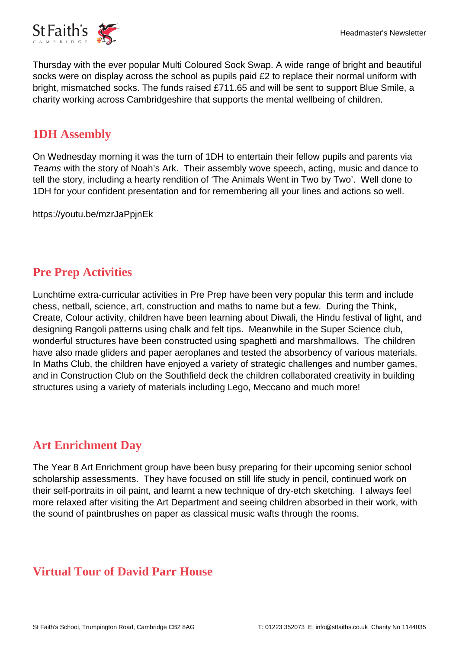

Thursday with the ever popular Multi Coloured Sock Swap. A wide range of bright and beautiful socks were on display across the school as pupils paid £2 to replace their normal uniform with bright, mismatched socks. The funds raised £711.65 and will be sent to support Blue Smile, a charity working across Cambridgeshire that supports the mental wellbeing of children.

#### **1DH Assembly**

On Wednesday morning it was the turn of 1DH to entertain their fellow pupils and parents via Teams with the story of Noah's Ark. Their assembly wove speech, acting, music and dance to tell the story, including a hearty rendition of 'The Animals Went in Two by Two'. Well done to 1DH for your confident presentation and for remembering all your lines and actions so well.

https://youtu.be/mzrJaPpjnEk

## **Pre Prep Activities**

Lunchtime extra-curricular activities in Pre Prep have been very popular this term and include chess, netball, science, art, construction and maths to name but a few. During the Think, Create, Colour activity, children have been learning about Diwali, the Hindu festival of light, and designing Rangoli patterns using chalk and felt tips. Meanwhile in the Super Science club, wonderful structures have been constructed using spaghetti and marshmallows. The children have also made gliders and paper aeroplanes and tested the absorbency of various materials. In Maths Club, the children have enjoyed a variety of strategic challenges and number games, and in Construction Club on the Southfield deck the children collaborated creativity in building structures using a variety of materials including Lego, Meccano and much more!

#### **Art Enrichment Day**

The Year 8 Art Enrichment group have been busy preparing for their upcoming senior school scholarship assessments. They have focused on still life study in pencil, continued work on their self-portraits in oil paint, and learnt a new technique of dry-etch sketching. I always feel more relaxed after visiting the Art Department and seeing children absorbed in their work, with the sound of paintbrushes on paper as classical music wafts through the rooms.

#### **Virtual Tour of David Parr House**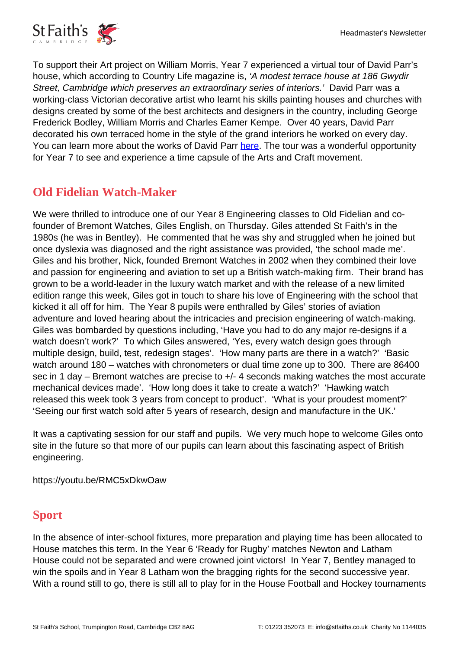

To support their Art project on William Morris, Year 7 experienced a virtual tour of David Parr's house, which according to Country Life magazine is, 'A modest terrace house at 186 Gwydir Street, Cambridge which preserves an extraordinary series of interiors.' David Parr was a working-class Victorian decorative artist who learnt his skills painting houses and churches with designs created by some of the best architects and designers in the country, including George Frederick Bodley, William Morris and Charles Eamer Kempe. Over 40 years, David Parr decorated his own terraced home in the style of the grand interiors he worked on every day. You can learn more about the works of David Parr [here.](https://davidparrhouse.org/) The tour was a wonderful opportunity for Year 7 to see and experience a time capsule of the Arts and Craft movement.

## **Old Fidelian Watch-Maker**

We were thrilled to introduce one of our Year 8 Engineering classes to Old Fidelian and cofounder of Bremont Watches, Giles English, on Thursday. Giles attended St Faith's in the 1980s (he was in Bentley). He commented that he was shy and struggled when he joined but once dyslexia was diagnosed and the right assistance was provided, 'the school made me'. Giles and his brother, Nick, founded Bremont Watches in 2002 when they combined their love and passion for engineering and aviation to set up a British watch-making firm. Their brand has grown to be a world-leader in the luxury watch market and with the release of a new limited edition range this week, Giles got in touch to share his love of Engineering with the school that kicked it all off for him. The Year 8 pupils were enthralled by Giles' stories of aviation adventure and loved hearing about the intricacies and precision engineering of watch-making. Giles was bombarded by questions including, 'Have you had to do any major re-designs if a watch doesn't work?' To which Giles answered, 'Yes, every watch design goes through multiple design, build, test, redesign stages'. 'How many parts are there in a watch?' 'Basic watch around 180 – watches with chronometers or dual time zone up to 300. There are 86400 sec in 1 day – Bremont watches are precise to +/- 4 seconds making watches the most accurate mechanical devices made'. 'How long does it take to create a watch?' 'Hawking watch released this week took 3 years from concept to product'. 'What is your proudest moment?' 'Seeing our first watch sold after 5 years of research, design and manufacture in the UK.'

It was a captivating session for our staff and pupils. We very much hope to welcome Giles onto site in the future so that more of our pupils can learn about this fascinating aspect of British engineering.

https://youtu.be/RMC5xDkwOaw

# **Sport**

In the absence of inter-school fixtures, more preparation and playing time has been allocated to House matches this term. In the Year 6 'Ready for Rugby' matches Newton and Latham House could not be separated and were crowned joint victors! In Year 7, Bentley managed to win the spoils and in Year 8 Latham won the bragging rights for the second successive year. With a round still to go, there is still all to play for in the House Football and Hockey tournaments